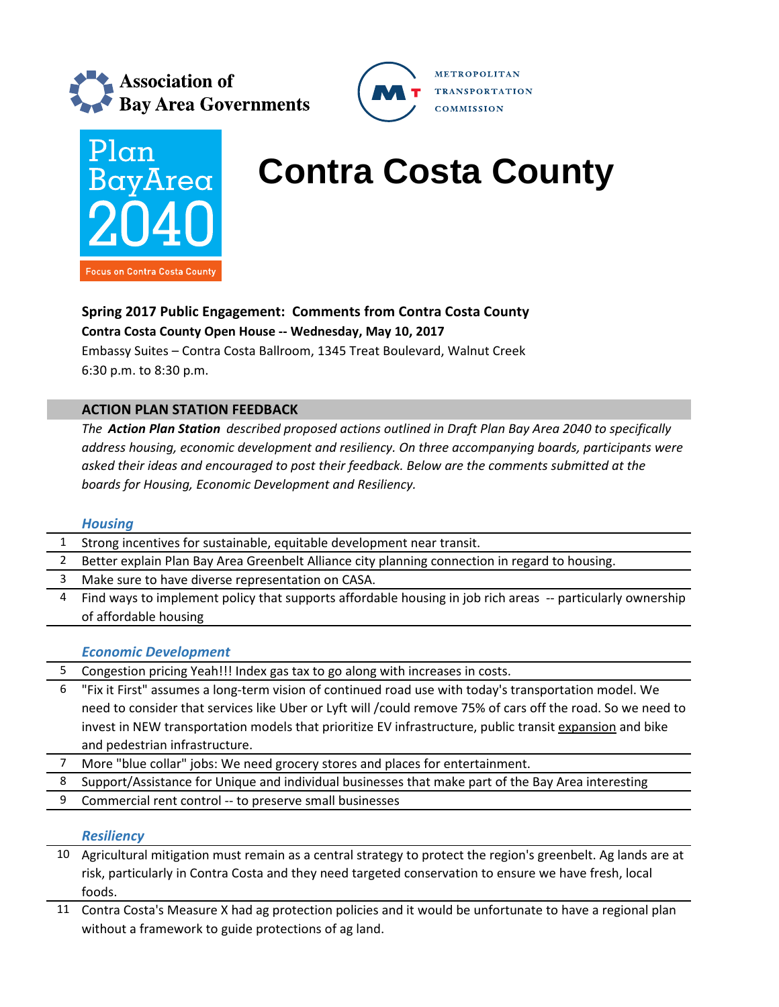





# **BayArea** Contra Costa County

# **Spring 2017 Public Engagement: Comments from Contra Costa County**

**Contra Costa County Open House ‐‐ Wednesday, May 10, 2017**

Embassy Suites – Contra Costa Ballroom, 1345 Treat Boulevard, Walnut Creek 6:30 p.m. to 8:30 p.m.

## **ACTION PLAN STATION FEEDBACK**

*The Action Plan Station described proposed actions outlined in Draft Plan Bay Area 2040 to specifically address housing, economic development and resiliency. On three accompanying boards, participants were asked their ideas and encouraged to post their feedback. Below are the comments submitted at the boards for Housing, Economic Development and Resiliency.*

### *Housing*

|   | Strong incentives for sustainable, equitable development near transit.                                      |
|---|-------------------------------------------------------------------------------------------------------------|
| 2 | Better explain Plan Bay Area Greenbelt Alliance city planning connection in regard to housing.              |
| 3 | Make sure to have diverse representation on CASA.                                                           |
| 4 | Find ways to implement policy that supports affordable housing in job rich areas -- particularly ownership  |
|   | of affordable housing                                                                                       |
|   |                                                                                                             |
|   |                                                                                                             |
|   | <b>Economic Development</b>                                                                                 |
| 5 | Congestion pricing Yeah!!! Index gas tax to go along with increases in costs.                               |
| 6 | "Fix it First" assumes a long-term vision of continued road use with today's transportation model. We       |
|   | need to consider that services like Uber or Lyft will /could remove 75% of cars off the road. So we need to |
|   | invest in NEW transportation models that prioritize EV infrastructure, public transit expansion and bike    |
|   | and pedestrian infrastructure.                                                                              |

- 7 More "blue collar" jobs: We need grocery stores and places for entertainment.
- 8 Support/Assistance for Unique and individual businesses that make part of the Bay Area interesting
- 9 Commercial rent control -- to preserve small businesses

### *Resiliency*

- 10 Agricultural mitigation must remain as a central strategy to protect the region's greenbelt. Ag lands are at risk, particularly in Contra Costa and they need targeted conservation to ensure we have fresh, local foods.
- 11 Contra Costa's Measure X had ag protection policies and it would be unfortunate to have a regional plan without a framework to guide protections of ag land.